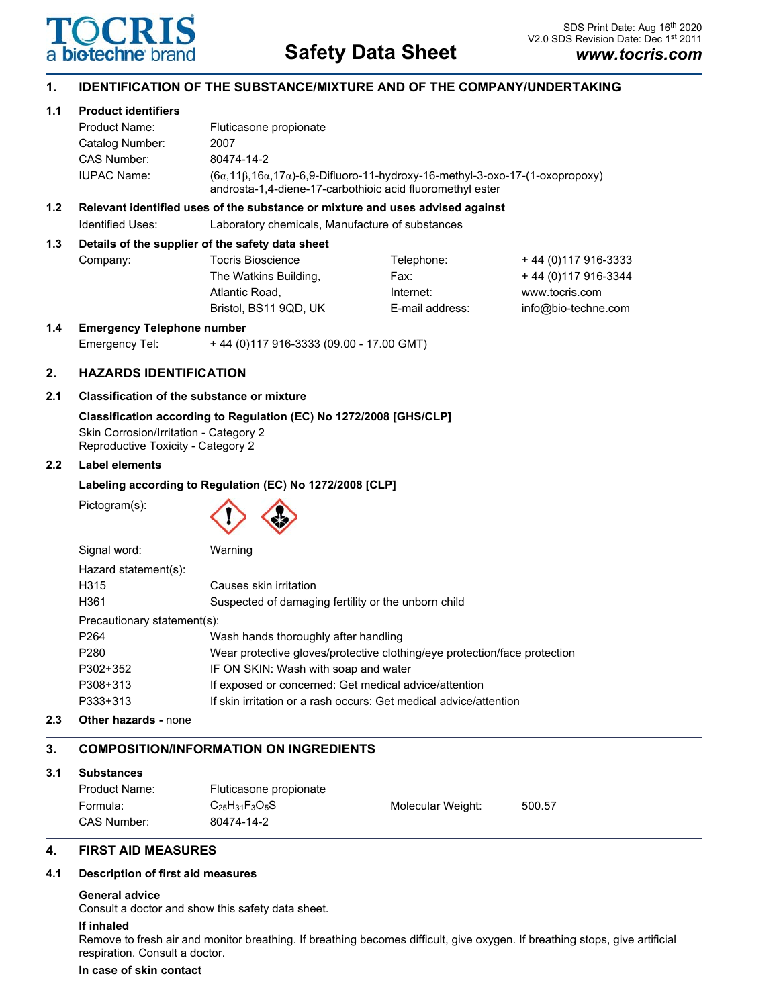

## **1. IDENTIFICATION OF THE SUBSTANCE/MIXTURE AND OF THE COMPANY/UNDERTAKING**

## **1.1 Product identifiers**

| Product Name:      | Fluticasone propionate                                                                                                                                           |
|--------------------|------------------------------------------------------------------------------------------------------------------------------------------------------------------|
| Catalog Number:    | 2007                                                                                                                                                             |
| CAS Number:        | 80474-14-2                                                                                                                                                       |
| <b>IUPAC Name:</b> | $(6\alpha, 11\beta, 16\alpha, 17\alpha)$ -6,9-Difluoro-11-hydroxy-16-methyl-3-oxo-17-(1-oxopropoxy)<br>androsta-1,4-diene-17-carbothioic acid fluoromethyl ester |

## **1.2 Relevant identified uses of the substance or mixture and uses advised against**

Identified Uses: Laboratory chemicals, Manufacture of substances

## **1.3 Details of the supplier of the safety data sheet**

| Company: | Tocris Bioscience     | Telephone:      | +44 (0) 117 916-3333 |
|----------|-----------------------|-----------------|----------------------|
|          | The Watkins Building, | Fax:            | +44 (0) 117 916-3344 |
|          | Atlantic Road.        | Internet:       | www.tocris.com       |
|          | Bristol, BS11 9QD, UK | E-mail address: | info@bio-techne.com  |
|          |                       |                 |                      |

### **1.4 Emergency Telephone number**

| Emergency Tel: | +44 (0) 117 916-3333 (09.00 - 17.00 GMT) |
|----------------|------------------------------------------|
|                |                                          |

## **2. HAZARDS IDENTIFICATION**

## **2.1 Classification of the substance or mixture**

## **Classification according to Regulation (EC) No 1272/2008 [GHS/CLP]** Skin Corrosion/Irritation - Category 2

Reproductive Toxicity - Category 2

## **2.2 Label elements**

## **Labeling according to Regulation (EC) No 1272/2008 [CLP]**

Pictogram(s):



| Signal word:                | Warning                                                                   |  |  |
|-----------------------------|---------------------------------------------------------------------------|--|--|
| Hazard statement(s):        |                                                                           |  |  |
| H315                        | Causes skin irritation                                                    |  |  |
| H361                        | Suspected of damaging fertility or the unborn child                       |  |  |
| Precautionary statement(s): |                                                                           |  |  |
| P <sub>264</sub>            | Wash hands thoroughly after handling                                      |  |  |
| P280                        | Wear protective gloves/protective clothing/eye protection/face protection |  |  |
| P302+352                    | IF ON SKIN: Wash with soap and water                                      |  |  |
| P308+313                    | If exposed or concerned: Get medical advice/attention                     |  |  |
| P333+313                    | If skin irritation or a rash occurs: Get medical advice/attention         |  |  |
|                             |                                                                           |  |  |

### **2.3 Other hazards -** none

# **3. COMPOSITION/INFORMATION ON INGREDIENTS**

## **3.1 Substances**

| Product Name: | Fluticasone propionate    |                   |        |
|---------------|---------------------------|-------------------|--------|
| Formula:      | $C_{25}H_{31}F_{3}O_{5}S$ | Molecular Weight: | 500.57 |
| CAS Number:   | 80474-14-2                |                   |        |

# **4. FIRST AID MEASURES**

## **4.1 Description of first aid measures**

## **General advice**

Consult a doctor and show this safety data sheet.

## **If inhaled**

Remove to fresh air and monitor breathing. If breathing becomes difficult, give oxygen. If breathing stops, give artificial respiration. Consult a doctor.

### **In case of skin contact**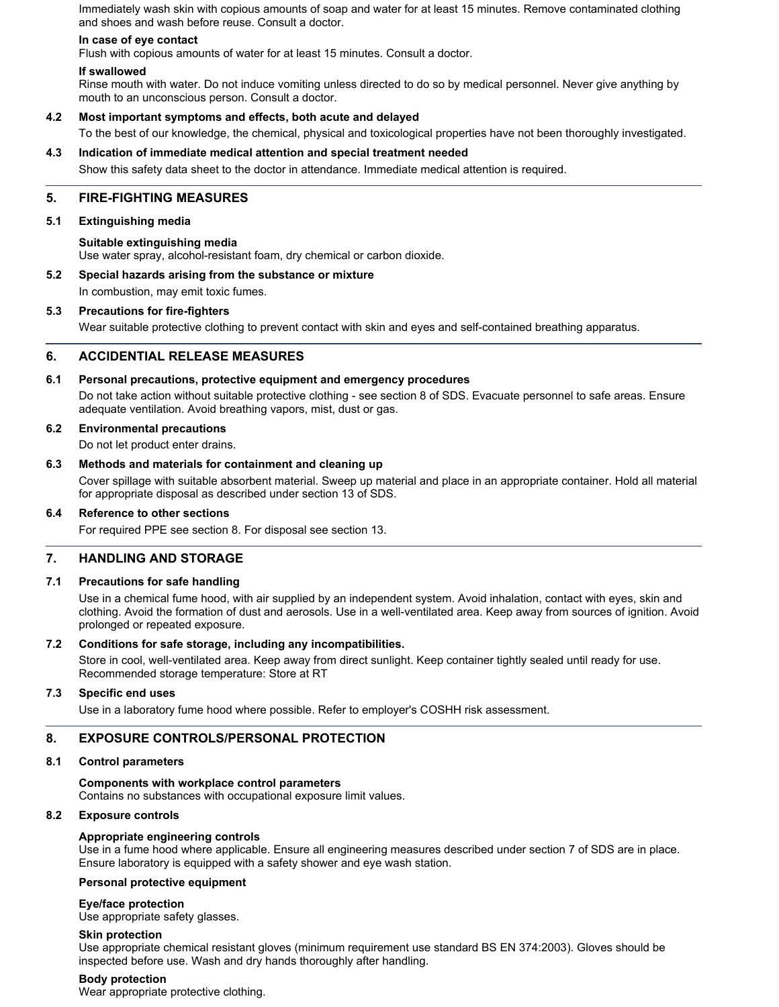Immediately wash skin with copious amounts of soap and water for at least 15 minutes. Remove contaminated clothing and shoes and wash before reuse. Consult a doctor.

## **In case of eye contact**

Flush with copious amounts of water for at least 15 minutes. Consult a doctor.

### **If swallowed**

Rinse mouth with water. Do not induce vomiting unless directed to do so by medical personnel. Never give anything by mouth to an unconscious person. Consult a doctor.

### **4.2 Most important symptoms and effects, both acute and delayed**

To the best of our knowledge, the chemical, physical and toxicological properties have not been thoroughly investigated.

### **4.3 Indication of immediate medical attention and special treatment needed**

Show this safety data sheet to the doctor in attendance. Immediate medical attention is required.

## **5. FIRE-FIGHTING MEASURES**

### **5.1 Extinguishing media**

### **Suitable extinguishing media**

Use water spray, alcohol-resistant foam, dry chemical or carbon dioxide.

# **5.2 Special hazards arising from the substance or mixture**

In combustion, may emit toxic fumes.

### **5.3 Precautions for fire-fighters**

Wear suitable protective clothing to prevent contact with skin and eyes and self-contained breathing apparatus.

## **6. ACCIDENTIAL RELEASE MEASURES**

### **6.1 Personal precautions, protective equipment and emergency procedures**

Do not take action without suitable protective clothing - see section 8 of SDS. Evacuate personnel to safe areas. Ensure adequate ventilation. Avoid breathing vapors, mist, dust or gas.

### **6.2 Environmental precautions**

Do not let product enter drains.

### **6.3 Methods and materials for containment and cleaning up**

Cover spillage with suitable absorbent material. Sweep up material and place in an appropriate container. Hold all material for appropriate disposal as described under section 13 of SDS.

### **6.4 Reference to other sections**

For required PPE see section 8. For disposal see section 13.

### **7. HANDLING AND STORAGE**

### **7.1 Precautions for safe handling**

Use in a chemical fume hood, with air supplied by an independent system. Avoid inhalation, contact with eyes, skin and clothing. Avoid the formation of dust and aerosols. Use in a well-ventilated area. Keep away from sources of ignition. Avoid prolonged or repeated exposure.

### **7.2 Conditions for safe storage, including any incompatibilities.**

Store in cool, well-ventilated area. Keep away from direct sunlight. Keep container tightly sealed until ready for use. Recommended storage temperature: Store at RT

### **7.3 Specific end uses**

Use in a laboratory fume hood where possible. Refer to employer's COSHH risk assessment.

### **8. EXPOSURE CONTROLS/PERSONAL PROTECTION**

### **8.1 Control parameters**

### **Components with workplace control parameters**

Contains no substances with occupational exposure limit values.

### **8.2 Exposure controls**

### **Appropriate engineering controls**

Use in a fume hood where applicable. Ensure all engineering measures described under section 7 of SDS are in place. Ensure laboratory is equipped with a safety shower and eye wash station.

### **Personal protective equipment**

### **Eye/face protection**

Use appropriate safety glasses.

### **Skin protection**

Use appropriate chemical resistant gloves (minimum requirement use standard BS EN 374:2003). Gloves should be inspected before use. Wash and dry hands thoroughly after handling.

### **Body protection**

Wear appropriate protective clothing.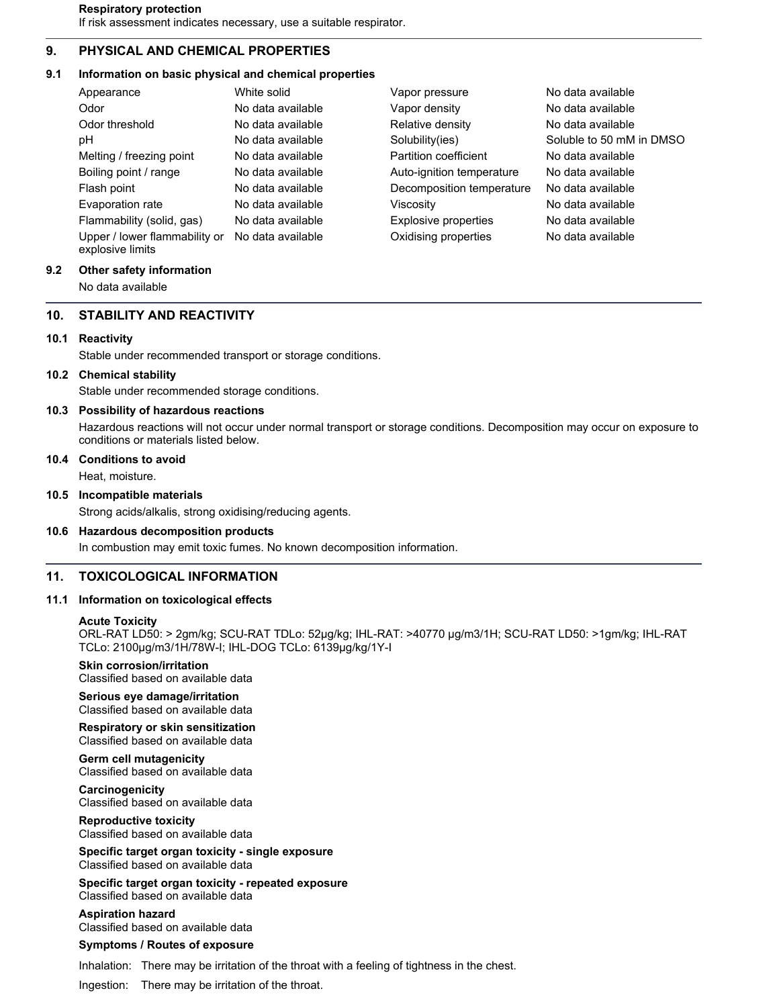## **9. PHYSICAL AND CHEMICAL PROPERTIES**

# **9.1 Information on basic physical and chemical properties**

| Appearance                                        | White solid       | Vapor pressure            | No data available        |
|---------------------------------------------------|-------------------|---------------------------|--------------------------|
| Odor                                              | No data available | Vapor density             | No data available        |
| Odor threshold                                    | No data available | Relative density          | No data available        |
| рH                                                | No data available | Solubility(ies)           | Soluble to 50 mM in DMSO |
| Melting / freezing point                          | No data available | Partition coefficient     | No data available        |
| Boiling point / range                             | No data available | Auto-ignition temperature | No data available        |
| Flash point                                       | No data available | Decomposition temperature | No data available        |
| Evaporation rate                                  | No data available | Viscosity                 | No data available        |
| Flammability (solid, gas)                         | No data available | Explosive properties      | No data available        |
| Upper / lower flammability or<br>explosive limits | No data available | Oxidising properties      | No data available        |

# **9.2 Other safety information**

No data available

# **10. STABILITY AND REACTIVITY**

# **10.1 Reactivity**

Stable under recommended transport or storage conditions.

## **10.2 Chemical stability**

Stable under recommended storage conditions.

# **10.3 Possibility of hazardous reactions**

Hazardous reactions will not occur under normal transport or storage conditions. Decomposition may occur on exposure to conditions or materials listed below.

# **10.4 Conditions to avoid**

Heat, moisture.

# **10.5 Incompatible materials**

Strong acids/alkalis, strong oxidising/reducing agents.

## **10.6 Hazardous decomposition products**

In combustion may emit toxic fumes. No known decomposition information.

# **11. TOXICOLOGICAL INFORMATION**

## **11.1 Information on toxicological effects**

## **Acute Toxicity**

ORL-RAT LD50: > 2gm/kg; SCU-RAT TDLo: 52µg/kg; IHL-RAT: >40770 µg/m3/1H; SCU-RAT LD50: >1gm/kg; IHL-RAT TCLo: 2100µg/m3/1H/78W-I; IHL-DOG TCLo: 6139µg/kg/1Y-I

# **Skin corrosion/irritation**

Classified based on available data

**Serious eye damage/irritation** Classified based on available data

**Respiratory or skin sensitization** Classified based on available data

**Germ cell mutagenicity** Classified based on available data

**Carcinogenicity** Classified based on available data

**Reproductive toxicity** Classified based on available data

**Specific target organ toxicity - single exposure** Classified based on available data

**Specific target organ toxicity - repeated exposure** Classified based on available data

# **Aspiration hazard**

Classified based on available data

# **Symptoms / Routes of exposure**

Inhalation: There may be irritation of the throat with a feeling of tightness in the chest.

Ingestion: There may be irritation of the throat.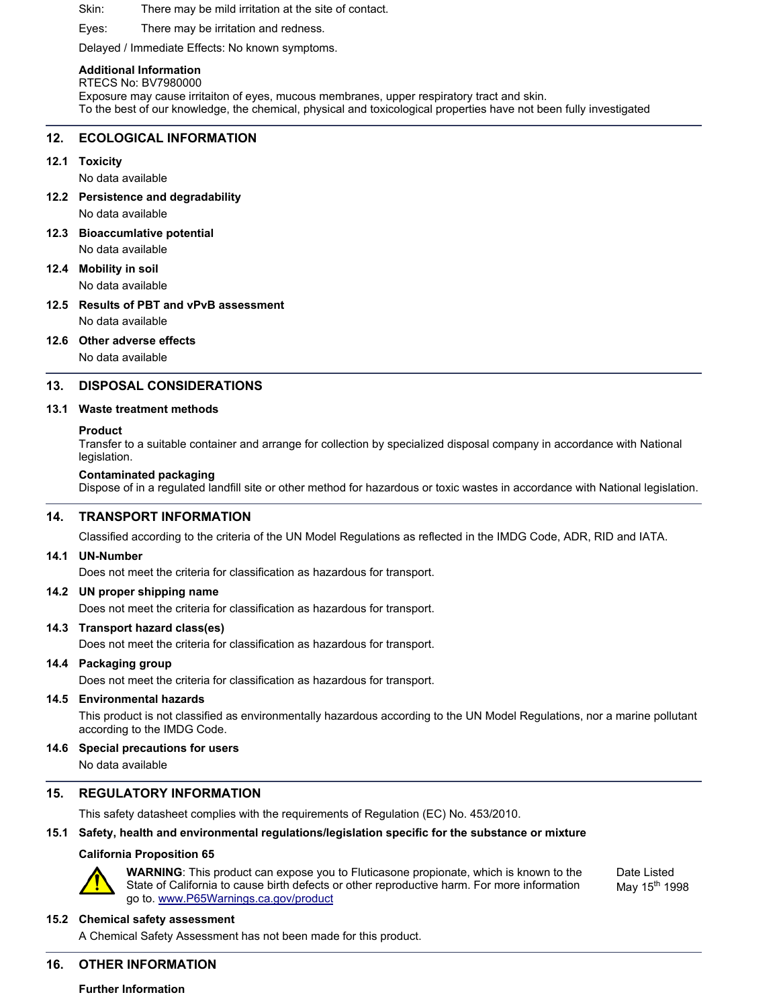### Skin: There may be mild irritation at the site of contact.

Eyes: There may be irritation and redness.

Delayed / Immediate Effects: No known symptoms.

### **Additional Information**

RTECS No: BV7980000

Exposure may cause irritaiton of eyes, mucous membranes, upper respiratory tract and skin. To the best of our knowledge, the chemical, physical and toxicological properties have not been fully investigated

### **12. ECOLOGICAL INFORMATION**

**12.1 Toxicity**

No data available

- **12.2 Persistence and degradability** No data available
- **12.3 Bioaccumlative potential**

No data available

**12.4 Mobility in soil** No data available

**12.5 Results of PBT and vPvB assessment** No data available

### **12.6 Other adverse effects**

No data available

### **13. DISPOSAL CONSIDERATIONS**

### **13.1 Waste treatment methods**

### **Product**

Transfer to a suitable container and arrange for collection by specialized disposal company in accordance with National legislation.

### **Contaminated packaging**

Dispose of in a regulated landfill site or other method for hazardous or toxic wastes in accordance with National legislation.

### **14. TRANSPORT INFORMATION**

Classified according to the criteria of the UN Model Regulations as reflected in the IMDG Code, ADR, RID and IATA.

### **14.1 UN-Number**

Does not meet the criteria for classification as hazardous for transport.

### **14.2 UN proper shipping name**

Does not meet the criteria for classification as hazardous for transport.

## **14.3 Transport hazard class(es)**

Does not meet the criteria for classification as hazardous for transport.

### **14.4 Packaging group**

Does not meet the criteria for classification as hazardous for transport.

### **14.5 Environmental hazards**

This product is not classified as environmentally hazardous according to the UN Model Regulations, nor a marine pollutant according to the IMDG Code.

### **14.6 Special precautions for users**

No data available

## **15. REGULATORY INFORMATION**

This safety datasheet complies with the requirements of Regulation (EC) No. 453/2010.

### **15.1 Safety, health and environmental regulations/legislation specific for the substance or mixture**

### **California Proposition 65**



Date Listed May 15<sup>th</sup> 1998

### **15.2 Chemical safety assessment**

A Chemical Safety Assessment has not been made for this product.

## **16. OTHER INFORMATION**

### **Further Information**